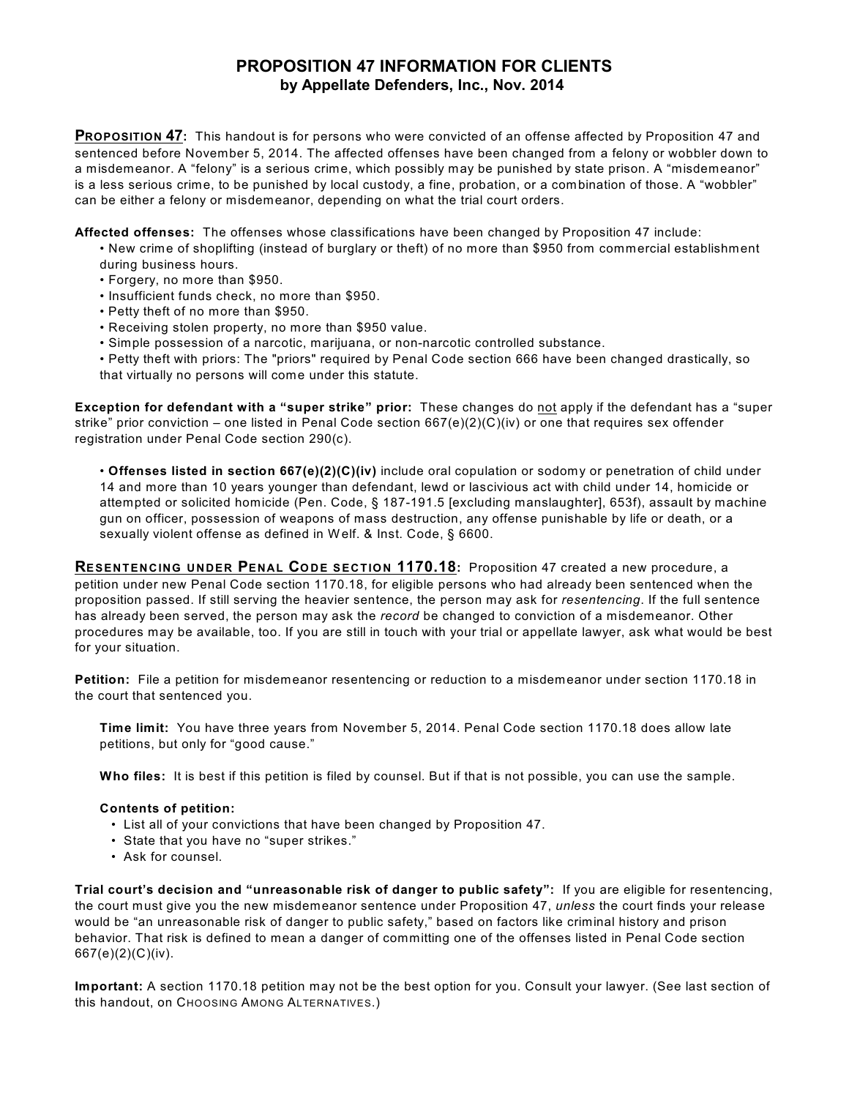## **PROPOSITION 47 INFORMATION FOR CLIENTS by Appellate Defenders, Inc., Nov. 2014**

**PROPOSITION 47:** This handout is for persons who were convicted of an offense affected by Proposition 47 and sentenced before November 5, 2014. The affected offenses have been changed from a felony or wobbler down to a misdemeanor. A "felony" is a serious crime, which possibly may be punished by state prison. A "misdemeanor" is a less serious crime, to be punished by local custody, a fine, probation, or a combination of those. A "wobbler" can be either a felony or misdemeanor, depending on what the trial court orders.

**Affected offenses:** The offenses whose classifications have been changed by Proposition 47 include:

- New crime of shoplifting (instead of burglary or theft) of no more than \$950 from commercial establishment during business hours.
	- Forgery, no more than \$950.
	- Insufficient funds check, no more than \$950.
	- Petty theft of no more than \$950.
	- Receiving stolen property, no more than \$950 value.
	- Simple possession of a narcotic, marijuana, or non-narcotic controlled substance.

• Petty theft with priors: The "priors" required by Penal Code section 666 have been changed drastically, so that virtually no persons will come under this statute.

**Exception for defendant with a "super strike" prior:** These changes do not apply if the defendant has a "super strike" prior conviction – one listed in Penal Code section 667(e)(2)(C)(iv) or one that requires sex offender registration under Penal Code section 290(c).

• **Offenses listed in section 667(e)(2)(C)(iv)** include oral copulation or sodomy or penetration of child under 14 and more than 10 years younger than defendant, lewd or lascivious act with child under 14, homicide or attempted or solicited homicide (Pen. Code, § 187-191.5 [excluding manslaughter], 653f), assault by machine gun on officer, possession of weapons of mass destruction, any offense punishable by life or death, or a sexually violent offense as defined in Welf. & Inst. Code, § 6600.

**RESENTENCING UNDER PENAL CODE SECTION 1170.18:** Proposition 47 created a new procedure, a petition under new Penal Code section 1170.18, for eligible persons who had already been sentenced when the proposition passed. If still serving the heavier sentence, the person may ask for *resentencing*. If the full sentence has already been served, the person may ask the *record* be changed to conviction of a misdemeanor. Other procedures may be available, too. If you are still in touch with your trial or appellate lawyer, ask what would be best for your situation.

**Petition:** File a petition for misdemeanor resentencing or reduction to a misdemeanor under section 1170.18 in the court that sentenced you.

**Time limit:** You have three years from November 5, 2014. Penal Code section 1170.18 does allow late petitions, but only for "good cause."

**Who files:** It is best if this petition is filed by counsel. But if that is not possible, you can use the sample.

## **Contents of petition:**

- •List all of your convictions that have been changed by Proposition 47.
- State that you have no "super strikes."
- •Ask for counsel.

**Trial court's decision and "unreasonable risk of danger to public safety":** If you are eligible for resentencing, the court must give you the new misdemeanor sentence under Proposition 47, *unless* the court finds your release would be "an unreasonable risk of danger to public safety," based on factors like criminal history and prison behavior. That risk is defined to mean a danger of committing one of the offenses listed in Penal Code section 667(e)(2)(C)(iv).

**Important:** A section 1170.18 petition may not be the best option for you. Consult your lawyer. (See last section of this handout, on CHOOSING AMONG ALTERNATIVES.)